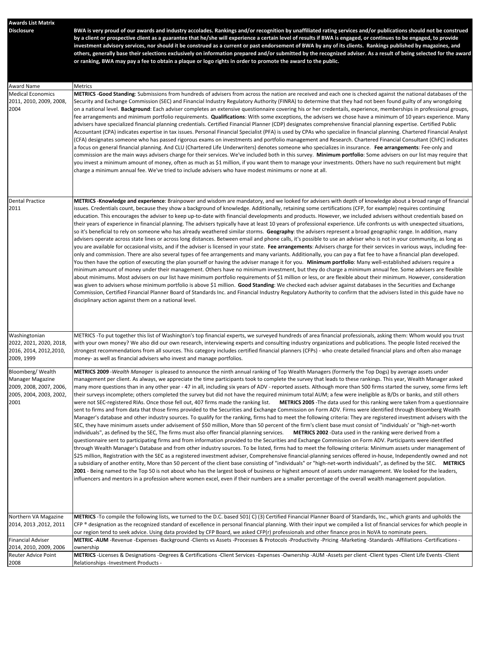| <b>Awards List Matrix</b>                          |                                                                                                                                                                                                                                                                                                                                            |
|----------------------------------------------------|--------------------------------------------------------------------------------------------------------------------------------------------------------------------------------------------------------------------------------------------------------------------------------------------------------------------------------------------|
| <b>Disclosure</b>                                  | BWA is very proud of our awards and industry accolades. Rankings and/or recognition by unaffiliated rating services and/or publications should not be construed                                                                                                                                                                            |
|                                                    | by a client or prospective client as a guarantee that he/she will experience a certain level of results if BWA is engaged, or continues to be engaged, to provide                                                                                                                                                                          |
|                                                    | investment advisory services, nor should it be construed as a current or past endorsement of BWA by any of its clients. Rankings published by magazines, and<br>others, generally base their selections exclusively on information prepared and/or submitted by the recognized adviser. As a result of being selected for the award        |
|                                                    | or ranking, BWA may pay a fee to obtain a plaque or logo rights in order to promote the award to the public.                                                                                                                                                                                                                               |
|                                                    |                                                                                                                                                                                                                                                                                                                                            |
|                                                    |                                                                                                                                                                                                                                                                                                                                            |
| Award Name                                         | Metrics                                                                                                                                                                                                                                                                                                                                    |
| <b>Medical Economics</b>                           | METRICS -Good Standing: Submissions from hundreds of advisers from across the nation are received and each one is checked against the national databases of the                                                                                                                                                                            |
| 2011, 2010, 2009, 2008,<br>2004                    | Security and Exchange Commission (SEC) and Financial Industry Regulatory Authority (FINRA) to determine that they had not been found guilty of any wrongdoing<br>on a national level. Background: Each adviser completes an extensive questionnaire covering his or her credentails, experience, memberships in professional groups,       |
|                                                    | fee arrangements and minimum portfolio requirements. Qualifications: With some exceptions, the advisers we chose have a minimum of 10 years experience. Many                                                                                                                                                                               |
|                                                    | advisers have specialized financial planning credentials. Certified Financial Planner (CDP) designates comprehensive financial planning expertise. Certified Public                                                                                                                                                                        |
|                                                    | Accountant (CPA) indicates expertise in tax issues. Personal Financial Specialist (PFA) is used by CPAs who specialize in financial planning. Chartered Financial Analyst                                                                                                                                                                  |
|                                                    | (CFA) designates someone who has passed rigorous exams on investments and portfolio management and Research. Chartered Financial Consultant (ChFC) indicates<br>a focus on general financial planning. And CLU (Chartered Life Underwriters) denotes someone who specializes in insurance. Fee arrangements: Fee-only and                  |
|                                                    | commission are the main ways advisers charge for their services. We've included both in this survey. Minimum portfolio: Some advisers on our list may require that                                                                                                                                                                         |
|                                                    | you invest a minimum amount of money, often as much as \$1 million, if you want them to manage your investments. Others have no such requirement but might                                                                                                                                                                                 |
|                                                    | charge a minimum annual fee. We've tried to include advisers who have modest minimums or none at all.                                                                                                                                                                                                                                      |
|                                                    |                                                                                                                                                                                                                                                                                                                                            |
|                                                    |                                                                                                                                                                                                                                                                                                                                            |
| <b>Dental Practice</b>                             | METRICS-Knowledge and experience: Brainpower and wisdom are mandatory, and we looked for advisers with depth of knowledge about a broad range of financial                                                                                                                                                                                 |
| 2011                                               | issues. Credentials count, because they show a background of knowledge. Additionally, retaining some certifications (CFP, for example) requires continuing                                                                                                                                                                                 |
|                                                    | education. This encourages the adviser to keep up-to-date with financial developments and products. However, we included advisers without credentials based on<br>their years of experience in financial planning. The advisers typically have at least 10 years of professional experience. Life confronts us with unexpected situations, |
|                                                    | so it's beneficial to rely on someone who has already weathered similar storms. Geography: the advisers represent a broad geographic range. In addition, many                                                                                                                                                                              |
|                                                    | advisers operate across state lines or across long distances. Between email and phone calls, it's possible to use an adviser who is not in your community, as long as                                                                                                                                                                      |
|                                                    | you are available for occasional visits, and if the adviser is licensed in your state. Fee arrangements: Advisers charge for their services in various ways, including fee-                                                                                                                                                                |
|                                                    | only and commission. There are also several types of fee arrangements and many variants. Additionally, you can pay a flat fee to have a financial plan developed.<br>You then have the option of executing the plan yourself or having the adviser manage it for you. <b>Minimum portfolio</b> : Many well-established advisers require a  |
|                                                    | minimum amount of money under their management. Others have no minimum investment, but they do charge a minimum annual fee. Some advisers are flexible                                                                                                                                                                                     |
|                                                    | about minimums. Most advisers on our list have minimum portfolio requirements of \$1 million or less, or are flexible about their minimum. However, consideration                                                                                                                                                                          |
|                                                    | was given to advisers whose minimum portfolio is above \$1 million. Good Standing: We checked each adviser against databases in the Securities and Exchange                                                                                                                                                                                |
|                                                    | Commission, Certified Financial Planner Board of Standards Inc. and Financial Industry Regulatory Authority to confirm that the advisers listed in this guide have no<br>disciplinary action against them on a national level.                                                                                                             |
|                                                    |                                                                                                                                                                                                                                                                                                                                            |
|                                                    |                                                                                                                                                                                                                                                                                                                                            |
|                                                    |                                                                                                                                                                                                                                                                                                                                            |
| Washingtonian                                      | METRICS -To put together this list of Washington's top financial experts, we surveyed hundreds of area financial professionals, asking them: Whom would you trust                                                                                                                                                                          |
| 2022, 2021, 2020, 2018,                            | with your own money? We also did our own research, interviewing experts and consulting industry organizations and publications. The people listed received the                                                                                                                                                                             |
| 2016, 2014, 2012, 2010,                            | strongest recommendations from all sources. This category includes certified financial planners (CFPs) - who create detailed financial plans and often also manage                                                                                                                                                                         |
| 2009, 1999                                         | money- as well as financial advisers who invest and manage portfolios.                                                                                                                                                                                                                                                                     |
| Bloomberg/Wealth                                   | METRICS 2009 -Wealth Manager is pleased to announce the ninth annual ranking of Top Wealth Managers (formerly the Top Dogs) by average assets under                                                                                                                                                                                        |
| <b>Manager Magazine</b>                            | management per client. As always, we appreciate the time participants took to complete the survey that leads to these rankings. This year, Wealth Manager asked                                                                                                                                                                            |
| 2009, 2008, 2007, 2006,<br>2005, 2004, 2003, 2002, | many more questions than in any other year - 47 in all, including six years of ADV - reported assets. Although more than 500 firms started the survey, some firms left<br>their surveys incomplete; others completed the survey but did not have the required minimum total AUM; a few were ineligible as B/Ds or banks, and still others  |
| 2001                                               | were not SEC-registered RIAs. Once those fell out, 407 firms made the ranking list. METRICS 2005 -The data used for this ranking were taken from a questionnaire                                                                                                                                                                           |
|                                                    | sent to firms and from data that those firms provided to the Securities and Exchange Commission on Form ADV. Firms were identified through Bloomberg Wealth                                                                                                                                                                                |
|                                                    | Manager's database and other industry sources. To qualify for the ranking, firms had to meet the following criteria: They are registered investment advisers with the                                                                                                                                                                      |
|                                                    | SEC, they have minimum assets under advisement of \$50 million, More than 50 percent of the firm's client base must consist of "individuals' or "high-net-worth<br>individuals", as defined by the SEC, The firms must also offer financial planning services. METRICS 2002 -Data used in the ranking were derived from a                  |
|                                                    | questionnaire sent to participating firms and from information provided to the Securities and Exchange Commission on Form ADV. Participants were identified                                                                                                                                                                                |
|                                                    | through Wealth Manager's Database and from other industry sources. To be listed, firms had to meet the following criteria: Minimum assets under management of                                                                                                                                                                              |
|                                                    | \$25 million, Registration with the SEC as a registered investment adviser, Comprehensive financial-planning services offered in-house, Independently owned and not                                                                                                                                                                        |
|                                                    | a subsidiary of another entity, More than 50 percent of the client base consisting of "individuals" or "high-net-worth individuals", as defined by the SEC. METRICS                                                                                                                                                                        |
|                                                    | 2001 - Being named to the Top 50 is not about who has the largest book of business or highest amount of assets under management. We looked for the leaders,<br>influencers and mentors in a profession where women excel, even if their numbers are a smaller percentage of the overall wealth management population.                      |
|                                                    |                                                                                                                                                                                                                                                                                                                                            |
|                                                    |                                                                                                                                                                                                                                                                                                                                            |
|                                                    |                                                                                                                                                                                                                                                                                                                                            |
| Northern VA Magazine                               | METRICS -To compile the following lists, we turned to the D.C. based 501(C) (3) Certified Financial Planner Board of Standards, Inc., which grants and upholds the                                                                                                                                                                         |
| 2014, 2013, 2012, 2011                             | CFP ® designation as the recognized standard of excellence in personal financial planning. With their input we compiled a list of financial services for which people in                                                                                                                                                                   |
|                                                    | our region tend to seek advice. Using data provided by CFP Board, we asked CFP(r) professionals and other finance pros in NoVA to nominate peers.                                                                                                                                                                                          |
| <b>Financial Adviser</b>                           | METRIC-AUM-Revenue-Expenses-Background-Clients vs Assets-Processes & Protocols-Productivity-Pricing-Marketing-Standards-Affiliations-Certifications-                                                                                                                                                                                       |
| 2014, 2010, 2009, 2006<br>Reuter Advice Point      | ownership<br>METRICS-Licenses & Designations -Degrees & Certifications -Client Services -Expenses -Ownership -AUM -Assets per client -Client types -Client Life Events -Client                                                                                                                                                             |
| 2008                                               | Relationships -Investment Products -                                                                                                                                                                                                                                                                                                       |
|                                                    |                                                                                                                                                                                                                                                                                                                                            |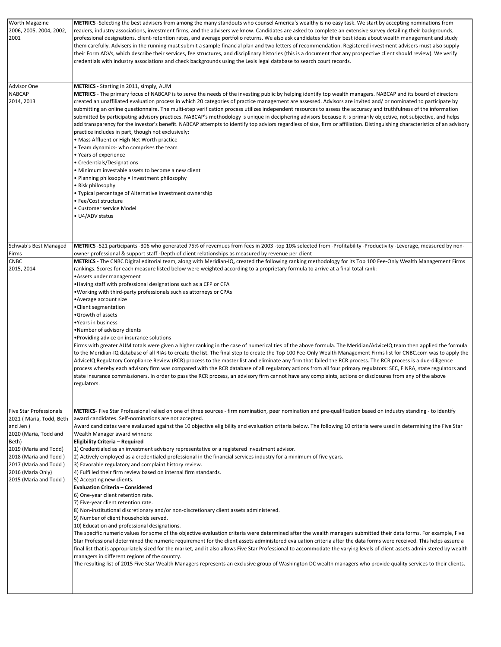| Worth Magazine                                                                                                                                                                                 | METRICS -Selecting the best advisers from among the many standouts who counsel America's wealthy is no easy task. We start by accepting nominations from                                                                                                                                                                                                                                                                                                                                                                                                                                                                                                                                                                                                                                                                                                                                                                                                                                                                                                                                                                                                                                                                                                                                                                                                                                                                                                                                                                                                                                                                                                                                                                                                |
|------------------------------------------------------------------------------------------------------------------------------------------------------------------------------------------------|---------------------------------------------------------------------------------------------------------------------------------------------------------------------------------------------------------------------------------------------------------------------------------------------------------------------------------------------------------------------------------------------------------------------------------------------------------------------------------------------------------------------------------------------------------------------------------------------------------------------------------------------------------------------------------------------------------------------------------------------------------------------------------------------------------------------------------------------------------------------------------------------------------------------------------------------------------------------------------------------------------------------------------------------------------------------------------------------------------------------------------------------------------------------------------------------------------------------------------------------------------------------------------------------------------------------------------------------------------------------------------------------------------------------------------------------------------------------------------------------------------------------------------------------------------------------------------------------------------------------------------------------------------------------------------------------------------------------------------------------------------|
| 2006, 2005, 2004, 2002,<br>2001                                                                                                                                                                | readers, industry associations, investment firms, and the advisers we know. Candidates are asked to complete an extensive survey detailing their backgrounds,<br>professional designations, client-retention rates, and average portfolio returns. We also ask candidates for their best ideas about wealth management and study<br>them carefully. Advisers in the running must submit a sample financial plan and two letters of recommendation. Registered investment advisers must also supply<br>their Form ADVs, which describe their services, fee structures, and disciplinary histories (this is a document that any prospective client should review). We verify<br>credentials with industry associations and check backgrounds using the Lexis legal database to search court records.                                                                                                                                                                                                                                                                                                                                                                                                                                                                                                                                                                                                                                                                                                                                                                                                                                                                                                                                                      |
|                                                                                                                                                                                                |                                                                                                                                                                                                                                                                                                                                                                                                                                                                                                                                                                                                                                                                                                                                                                                                                                                                                                                                                                                                                                                                                                                                                                                                                                                                                                                                                                                                                                                                                                                                                                                                                                                                                                                                                         |
| Advisor One                                                                                                                                                                                    | METRICS - Starting in 2011, simply, AUM                                                                                                                                                                                                                                                                                                                                                                                                                                                                                                                                                                                                                                                                                                                                                                                                                                                                                                                                                                                                                                                                                                                                                                                                                                                                                                                                                                                                                                                                                                                                                                                                                                                                                                                 |
| <b>NABCAP</b><br>2014, 2013                                                                                                                                                                    | METRICS - The primary focus of NABCAP is to serve the needs of the investing public by helping identify top wealth managers. NABCAP and its board of directors<br>created an unaffiliated evaluation process in which 20 categories of practice management are assessed. Advisors are invited and/ or nominated to participate by<br>submitting an online questionnaire. The multi-step verification process utilizes independent resources to assess the accuracy and truthfulness of the information<br>submitted by participating advisory practices. NABCAP's methodology is unique in deciphering advisors because it is primarily objective, not subjective, and helps<br>add transparency for the investor's benefit. NABCAP attempts to identify top adviors regardless of size, firm or affiliation. Distinguishing characteristics of an advisory<br>practice includes in part, though not exclusively:<br>• Mass Affluent or High Net Worth practice<br>• Team dynamics- who comprises the team<br>Years of experience<br>• Credentials/Designations<br>• Minimum investable assets to become a new client<br>• Planning philosophy • Investment philosophy<br>• Risk philosophy<br>. Typical percentage of Alternative Investment ownership<br>• Fee/Cost structure                                                                                                                                                                                                                                                                                                                                                                                                                                                                         |
|                                                                                                                                                                                                | • Customer service Model                                                                                                                                                                                                                                                                                                                                                                                                                                                                                                                                                                                                                                                                                                                                                                                                                                                                                                                                                                                                                                                                                                                                                                                                                                                                                                                                                                                                                                                                                                                                                                                                                                                                                                                                |
|                                                                                                                                                                                                | • U4/ADV status                                                                                                                                                                                                                                                                                                                                                                                                                                                                                                                                                                                                                                                                                                                                                                                                                                                                                                                                                                                                                                                                                                                                                                                                                                                                                                                                                                                                                                                                                                                                                                                                                                                                                                                                         |
| Schwab's Best Managed<br>Firms                                                                                                                                                                 | METRICS -521 participants -306 who generated 75% of revemues from fees in 2003 -top 10% selected from -Profitability -Productivity -Leverage, measured by non-<br>owner professional & support staff -Depth of client relationships as measured by revenue per client                                                                                                                                                                                                                                                                                                                                                                                                                                                                                                                                                                                                                                                                                                                                                                                                                                                                                                                                                                                                                                                                                                                                                                                                                                                                                                                                                                                                                                                                                   |
| <b>CNBC</b><br>2015, 2014                                                                                                                                                                      | METRICS - The CNBC Digital editorial team, along with Meridian-IQ, created the following ranking methodology for its Top 100 Fee-Only Wealth Management Firms<br>rankings. Scores for each measure listed below were weighted according to a proprietary formula to arrive at a final total rank:<br>•Assets under management<br>• Having staff with professional designations such as a CFP or CFA<br>. Working with third-party professionals such as attorneys or CPAs<br>•Average account size<br>Client segmentation<br>•Growth of assets<br>• Years in business<br>•Number of advisory clients<br>• Providing advice on insurance solutions<br>Firms with greater AUM totals were given a higher ranking in the case of numerical ties of the above formula. The Meridian/AdviceIQ team then applied the formula<br>to the Meridian-IQ database of all RIAs to create the list. The final step to create the Top 100 Fee-Only Wealth Management Firms list for CNBC.com was to apply the<br>AdviceIQ Regulatory Compliance Review (RCR) process to the master list and eliminate any firm that failed the RCR process. The RCR process is a due-diligence<br>process whereby each advisory firm was compared with the RCR database of all regulatory actions from all four primary regulators: SEC, FINRA, state regulators and<br>state insurance commissioners. In order to pass the RCR process, an advisory firm cannot have any complaints, actions or disclosures from any of the above<br>regulators.                                                                                                                                                                                                                                      |
| <b>Five Star Professionals</b>                                                                                                                                                                 | METRICS- Five Star Professional relied on one of three sources - firm nomination, peer nomination and pre-qualification based on industry standing - to identify                                                                                                                                                                                                                                                                                                                                                                                                                                                                                                                                                                                                                                                                                                                                                                                                                                                                                                                                                                                                                                                                                                                                                                                                                                                                                                                                                                                                                                                                                                                                                                                        |
| 2021 (Maria, Todd, Beth<br>and Jen)<br>2020 (Maria, Todd and<br>Beth)<br>2019 (Maria and Todd)<br>2018 (Maria and Todd)<br>2017 (Maria and Todd)<br>2016 (Maria Only)<br>2015 (Maria and Todd) | award candidates. Self-nominations are not accepted.<br>Award candidates were evaluated against the 10 objective eligibility and evaluation criteria below. The following 10 criteria were used in determining the Five Star<br>Wealth Manager award winners:<br><b>Eligibility Criteria - Required</b><br>1) Credentialed as an investment advisory representative or a registered investment advisor.<br>[2] Actively employed as a credentialed professional in the financial services industry for a minimum of five years.<br>3) Favorable regulatory and complaint history review.<br>4) Fulfilled their firm review based on internal firm standards.<br>5) Accepting new clients.<br><b>Evaluation Criteria - Considered</b><br>6) One-year client retention rate.<br>7) Five-year client retention rate.<br>8) Non-institutional discretionary and/or non-discretionary client assets administered.<br>9) Number of client households served.<br>10) Education and professional designations.<br>The specific numeric values for some of the objective evaluation criteria were determined after the wealth managers submitted their data forms. For example, Five<br>Star Professional determined the numeric requirement for the client assets administered evaluation criteria after the data forms were received. This helps assure a<br>final list that is appropriately sized for the market, and it also allows Five Star Professional to accommodate the varying levels of client assets administered by wealth<br>managers in different regions of the country.<br>The resulting list of 2015 Five Star Wealth Managers represents an exclusive group of Washington DC wealth managers who provide quality services to their clients. |